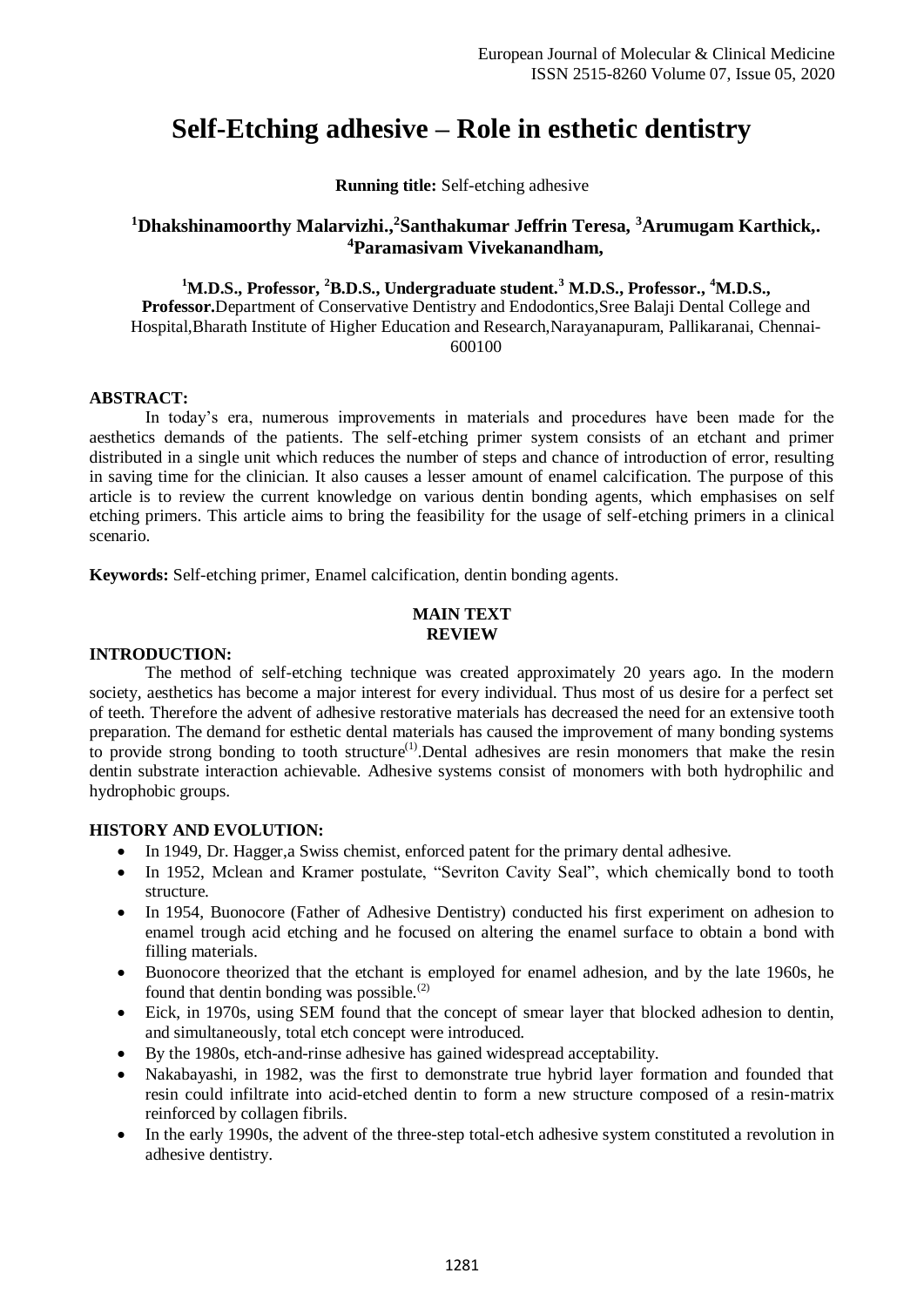# **Self-Etching adhesive – Role in esthetic dentistry**

**Running title:** Self-etching adhesive

# **<sup>1</sup>Dhakshinamoorthy Malarvizhi., <sup>2</sup>Santhakumar Jeffrin Teresa, <sup>3</sup>Arumugam Karthick,. <sup>4</sup>Paramasivam Vivekanandham,**

<sup>1</sup>M.D.S., Professor, <sup>2</sup>B.D.S., Undergraduate student.<sup>3</sup> M.D.S., Professor., <sup>4</sup>M.D.S.,

**Professor.**Department of Conservative Dentistry and Endodontics,Sree Balaji Dental College and Hospital,Bharath Institute of Higher Education and Research,Narayanapuram, Pallikaranai, Chennai-600100

# **ABSTRACT:**

In today's era, numerous improvements in materials and procedures have been made for the aesthetics demands of the patients. The self-etching primer system consists of an etchant and primer distributed in a single unit which reduces the number of steps and chance of introduction of error, resulting in saving time for the clinician. It also causes a lesser amount of enamel calcification. The purpose of this article is to review the current knowledge on various dentin bonding agents, which emphasises on self etching primers. This article aims to bring the feasibility for the usage of self-etching primers in a clinical scenario.

**Keywords:** Self-etching primer, Enamel calcification, dentin bonding agents.

# **MAIN TEXT REVIEW**

## **INTRODUCTION:**

The method of self-etching technique was created approximately 20 years ago. In the modern society, aesthetics has become a major interest for every individual. Thus most of us desire for a perfect set of teeth. Therefore the advent of adhesive restorative materials has decreased the need for an extensive tooth preparation. The demand for esthetic dental materials has caused the improvement of many bonding systems to provide strong bonding to tooth structure<sup>(1)</sup>. Dental adhesives are resin monomers that make the resin dentin substrate interaction achievable. Adhesive systems consist of monomers with both hydrophilic and hydrophobic groups.

# **HISTORY AND EVOLUTION:**

- In 1949, Dr. Hagger, a Swiss chemist, enforced patent for the primary dental adhesive.
- In 1952, Mclean and Kramer postulate, "Sevriton Cavity Seal", which chemically bond to tooth structure.
- In 1954, Buonocore (Father of Adhesive Dentistry) conducted his first experiment on adhesion to enamel trough acid etching and he focused on altering the enamel surface to obtain a bond with filling materials.
- Buonocore theorized that the etchant is employed for enamel adhesion, and by the late 1960s, he found that dentin bonding was possible. $^{(2)}$
- Eick, in 1970s, using SEM found that the concept of smear layer that blocked adhesion to dentin, and simultaneously, total etch concept were introduced.
- By the 1980s, etch-and-rinse adhesive has gained widespread acceptability.
- Nakabayashi, in 1982, was the first to demonstrate true hybrid layer formation and founded that resin could infiltrate into acid-etched dentin to form a new structure composed of a resin-matrix reinforced by collagen fibrils.
- In the early 1990s, the advent of the three-step total-etch adhesive system constituted a revolution in adhesive dentistry.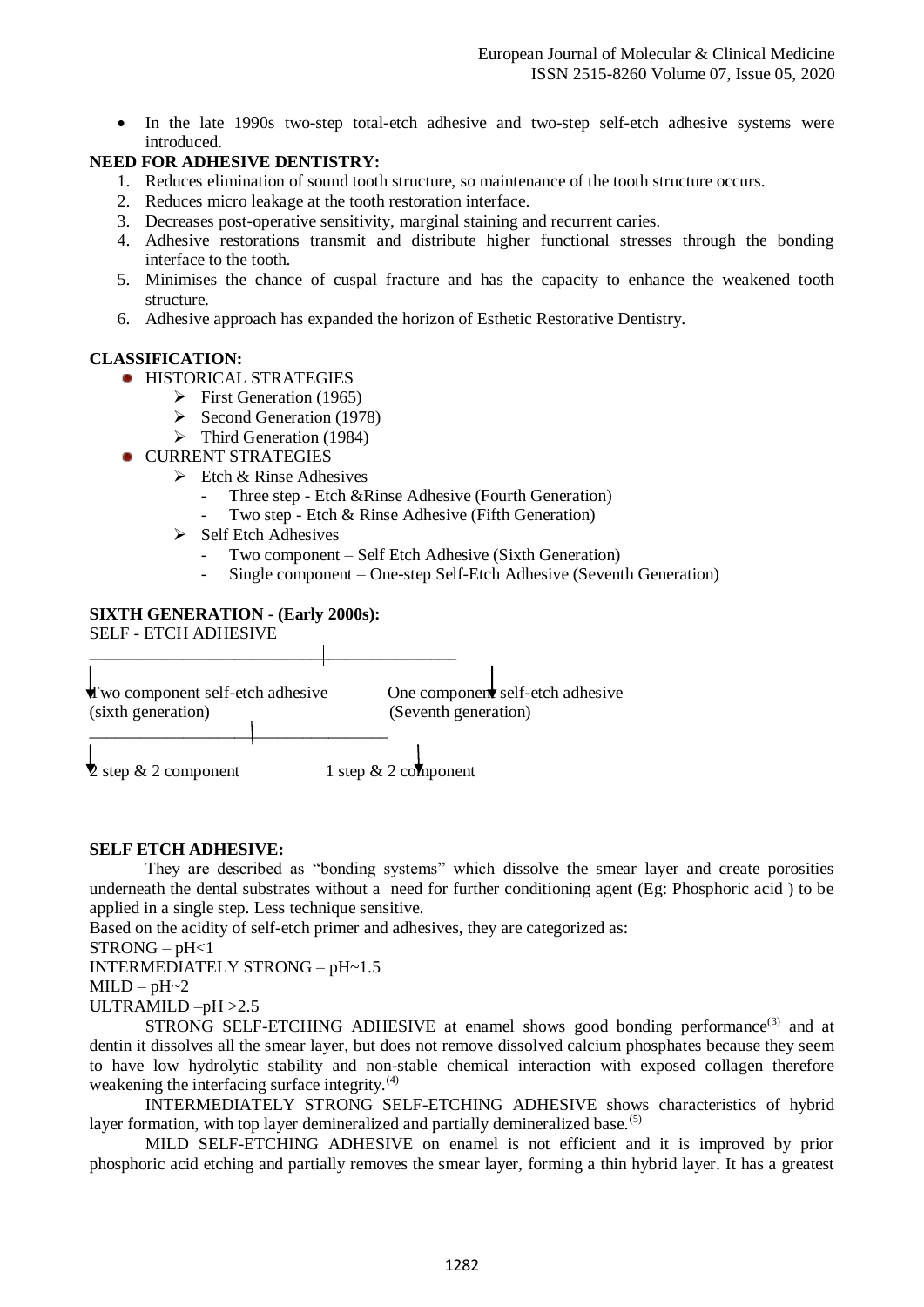• In the late 1990s two-step total-etch adhesive and two-step self-etch adhesive systems were introduced.

# **NEED FOR ADHESIVE DENTISTRY:**

- 1. Reduces elimination of sound tooth structure, so maintenance of the tooth structure occurs.
- 2. Reduces micro leakage at the tooth restoration interface.
- 3. Decreases post-operative sensitivity, marginal staining and recurrent caries.
- 4. Adhesive restorations transmit and distribute higher functional stresses through the bonding interface to the tooth.
- 5. Minimises the chance of cuspal fracture and has the capacity to enhance the weakened tooth structure.
- 6. Adhesive approach has expanded the horizon of Esthetic Restorative Dentistry.

# **CLASSIFICATION:**

- **HISTORICAL STRATEGIES** 
	- $\triangleright$  First Generation (1965)
	- $\triangleright$  Second Generation (1978)
	- $\triangleright$  Third Generation (1984)
- CURRENT STRATEGIES
	- $\triangleright$  Etch & Rinse Adhesives
		- Three step Etch &Rinse Adhesive (Fourth Generation)
		- Two step Etch & Rinse Adhesive (Fifth Generation)
	- $\triangleright$  Self Etch Adhesives
		- Two component Self Etch Adhesive (Sixth Generation)
		- Single component One-step Self-Etch Adhesive (Seventh Generation)

# **SIXTH GENERATION - (Early 2000s):**



# **SELF ETCH ADHESIVE:**

They are described as "bonding systems" which dissolve the smear layer and create porosities underneath the dental substrates without a need for further conditioning agent (Eg: Phosphoric acid ) to be applied in a single step. Less technique sensitive.

Based on the acidity of self-etch primer and adhesives, they are categorized as:

 $STRONG - pH < 1$ 

INTERMEDIATELY STRONG – pH~1.5

 $MILD - pH -2$ 

ULTRAMILD –pH >2.5

STRONG SELF-ETCHING ADHESIVE at enamel shows good bonding performance<sup>(3)</sup> and at dentin it dissolves all the smear layer, but does not remove dissolved calcium phosphates because they seem to have low hydrolytic stability and non-stable chemical interaction with exposed collagen therefore weakening the interfacing surface integrity.<sup>(4)</sup>

INTERMEDIATELY STRONG SELF-ETCHING ADHESIVE shows characteristics of hybrid layer formation, with top layer demineralized and partially demineralized base.<sup>(5)</sup>

MILD SELF-ETCHING ADHESIVE on enamel is not efficient and it is improved by prior phosphoric acid etching and partially removes the smear layer, forming a thin hybrid layer. It has a greatest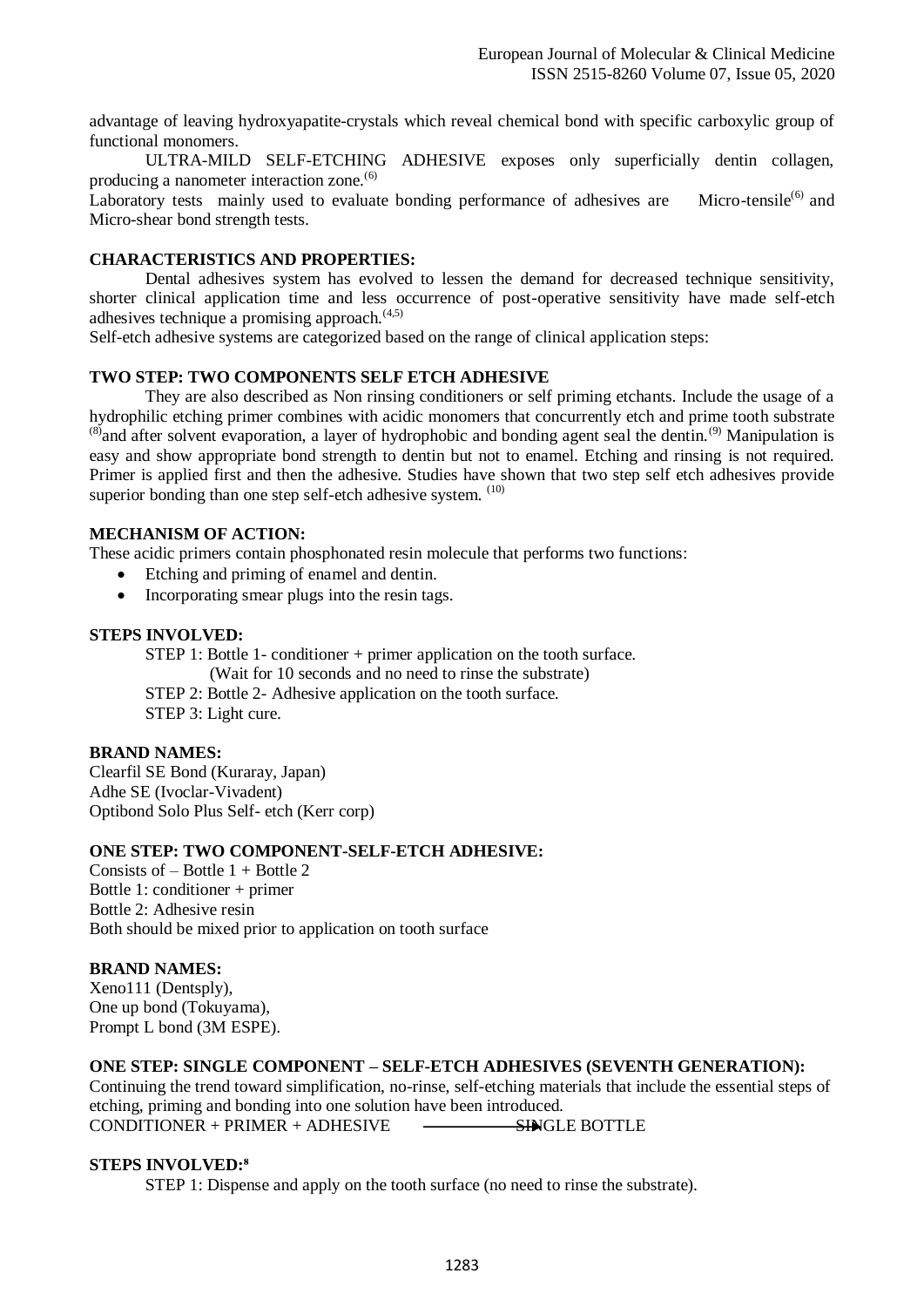advantage of leaving hydroxyapatite-crystals which reveal chemical bond with specific carboxylic group of functional monomers.

ULTRA-MILD SELF-ETCHING ADHESIVE exposes only superficially dentin collagen, producing a nanometer interaction zone.<sup>(6)</sup>

Laboratory tests mainly used to evaluate bonding performance of adhesives are Micro-tensile<sup>(6)</sup> and Micro-shear bond strength tests.

# **CHARACTERISTICS AND PROPERTIES:**

Dental adhesives system has evolved to lessen the demand for decreased technique sensitivity, shorter clinical application time and less occurrence of post-operative sensitivity have made self-etch adhesives technique a promising approach. $(4,5)$ 

Self-etch adhesive systems are categorized based on the range of clinical application steps:

# **TWO STEP: TWO COMPONENTS SELF ETCH ADHESIVE**

They are also described as Non rinsing conditioners or self priming etchants. Include the usage of a hydrophilic etching primer combines with acidic monomers that concurrently etch and prime tooth substrate  $^{(8)}$  and after solvent evaporation, a layer of hydrophobic and bonding agent seal the dentin.<sup>(9)</sup> Manipulation is easy and show appropriate bond strength to dentin but not to enamel. Etching and rinsing is not required. Primer is applied first and then the adhesive. Studies have shown that two step self etch adhesives provide superior bonding than one step self-etch adhesive system. (10)

# **MECHANISM OF ACTION:**

These acidic primers contain phosphonated resin molecule that performs two functions:

- Etching and priming of enamel and dentin.
- Incorporating smear plugs into the resin tags.

#### **STEPS INVOLVED:**

STEP 1: Bottle 1- conditioner + primer application on the tooth surface. (Wait for 10 seconds and no need to rinse the substrate) STEP 2: Bottle 2- Adhesive application on the tooth surface. STEP 3: Light cure.

#### **BRAND NAMES:**

Clearfil SE Bond (Kuraray, Japan) Adhe SE (Ivoclar-Vivadent) Optibond Solo Plus Self- etch (Kerr corp)

# **ONE STEP: TWO COMPONENT-SELF-ETCH ADHESIVE:**

Consists of  $-$  Bottle 1 + Bottle 2 Bottle 1: conditioner + primer Bottle 2: Adhesive resin Both should be mixed prior to application on tooth surface

# **BRAND NAMES:**

Xeno111 (Dentsply), One up bond (Tokuyama), Prompt L bond (3M ESPE).

# **ONE STEP: SINGLE COMPONENT – SELF-ETCH ADHESIVES (SEVENTH GENERATION):**

Continuing the trend toward simplification, no-rinse, self-etching materials that include the essential steps of etching, priming and bonding into one solution have been introduced.  $COMDITIONER + PRIMER + ADHESIVE$   $\longrightarrow$  SHNGLE BOTTLE

# **STEPS INVOLVED:⁸**

STEP 1: Dispense and apply on the tooth surface (no need to rinse the substrate).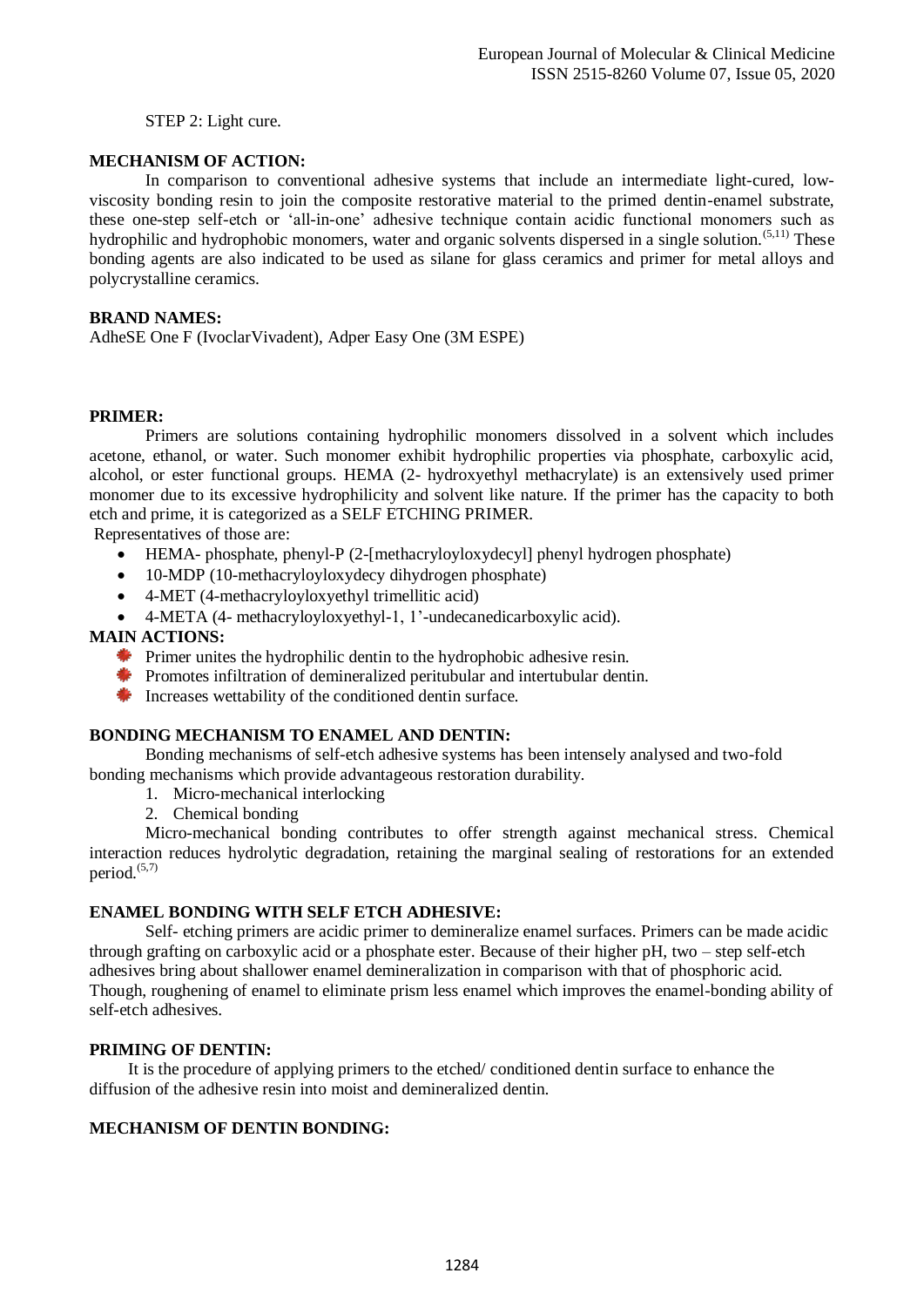#### STEP 2: Light cure.

### **MECHANISM OF ACTION:**

In comparison to conventional adhesive systems that include an intermediate light-cured, lowviscosity bonding resin to join the composite restorative material to the primed dentin-enamel substrate, these one-step self-etch or 'all-in-one' adhesive technique contain acidic functional monomers such as hydrophilic and hydrophobic monomers, water and organic solvents dispersed in a single solution.<sup>(5,11)</sup> These bonding agents are also indicated to be used as silane for glass ceramics and primer for metal alloys and polycrystalline ceramics.

# **BRAND NAMES:**

AdheSE One F (IvoclarVivadent), Adper Easy One (3M ESPE)

# **PRIMER:**

Primers are solutions containing hydrophilic monomers dissolved in a solvent which includes acetone, ethanol, or water. Such monomer exhibit hydrophilic properties via phosphate, carboxylic acid, alcohol, or ester functional groups. HEMA (2- hydroxyethyl methacrylate) is an extensively used primer monomer due to its excessive hydrophilicity and solvent like nature. If the primer has the capacity to both etch and prime, it is categorized as a SELF ETCHING PRIMER.

Representatives of those are:

- HEMA- phosphate, phenyl-P (2-[methacryloyloxydecyl] phenyl hydrogen phosphate)
- 10-MDP (10-methacryloyloxydecy dihydrogen phosphate)
- 4-MET (4-methacryloyloxyethyl trimellitic acid)
- 4-META (4- methacryloyloxyethyl-1, 1'-undecanedicarboxylic acid).

# **MAIN ACTIONS:**

- **Primer unites the hydrophilic dentin to the hydrophobic adhesive resin.**
- **Promotes infiltration of demineralized peritubular and intertubular dentin.**
- Increases wettability of the conditioned dentin surface.

# **BONDING MECHANISM TO ENAMEL AND DENTIN:**

Bonding mechanisms of self-etch adhesive systems has been intensely analysed and two-fold bonding mechanisms which provide advantageous restoration durability.

- 1. Micro-mechanical interlocking
- 2. Chemical bonding

Micro-mechanical bonding contributes to offer strength against mechanical stress. Chemical interaction reduces hydrolytic degradation, retaining the marginal sealing of restorations for an extended period. $(5,7)$ 

# **ENAMEL BONDING WITH SELF ETCH ADHESIVE:**

Self- etching primers are acidic primer to demineralize enamel surfaces. Primers can be made acidic through grafting on carboxylic acid or a phosphate ester. Because of their higher pH, two – step self-etch adhesives bring about shallower enamel demineralization in comparison with that of phosphoric acid. Though, roughening of enamel to eliminate prism less enamel which improves the enamel-bonding ability of self-etch adhesives.

# **PRIMING OF DENTIN:**

 It is the procedure of applying primers to the etched/ conditioned dentin surface to enhance the diffusion of the adhesive resin into moist and demineralized dentin.

# **MECHANISM OF DENTIN BONDING:**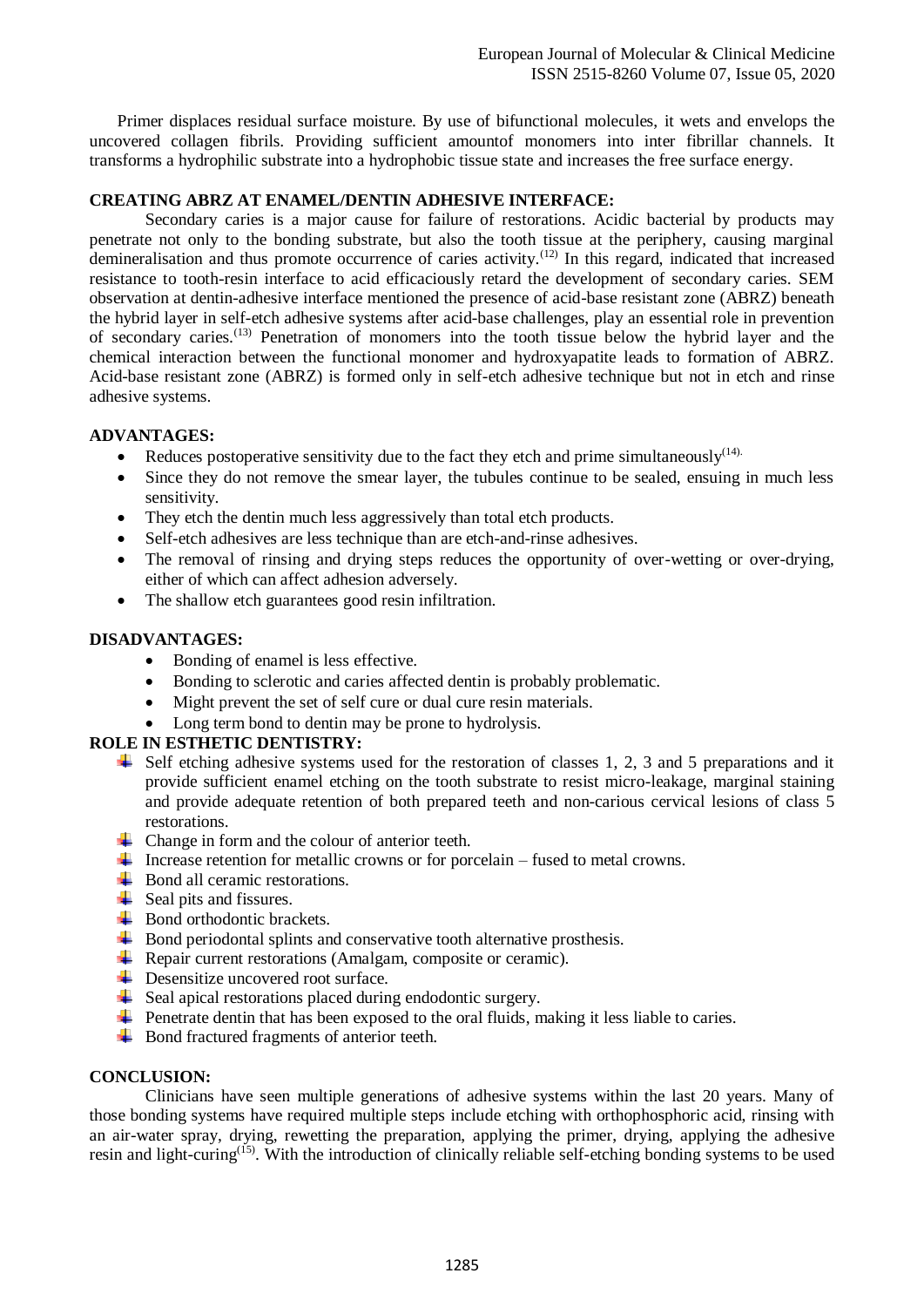Primer displaces residual surface moisture. By use of bifunctional molecules, it wets and envelops the uncovered collagen fibrils. Providing sufficient amountof monomers into inter fibrillar channels. It transforms a hydrophilic substrate into a hydrophobic tissue state and increases the free surface energy.

# **CREATING ABRZ AT ENAMEL/DENTIN ADHESIVE INTERFACE:**

Secondary caries is a major cause for failure of restorations. Acidic bacterial by products may penetrate not only to the bonding substrate, but also the tooth tissue at the periphery, causing marginal demineralisation and thus promote occurrence of caries activity.<sup>(12)</sup> In this regard, indicated that increased resistance to tooth-resin interface to acid efficaciously retard the development of secondary caries. SEM observation at dentin-adhesive interface mentioned the presence of acid-base resistant zone (ABRZ) beneath the hybrid layer in self-etch adhesive systems after acid-base challenges, play an essential role in prevention of secondary caries.(13) Penetration of monomers into the tooth tissue below the hybrid layer and the chemical interaction between the functional monomer and hydroxyapatite leads to formation of ABRZ. Acid-base resistant zone (ABRZ) is formed only in self-etch adhesive technique but not in etch and rinse adhesive systems.

#### **ADVANTAGES:**

- Reduces postoperative sensitivity due to the fact they etch and prime simultaneously<sup>(14).</sup>
- Since they do not remove the smear layer, the tubules continue to be sealed, ensuing in much less sensitivity.
- They etch the dentin much less aggressively than total etch products.
- Self-etch adhesives are less technique than are etch-and-rinse adhesives.
- The removal of rinsing and drying steps reduces the opportunity of over-wetting or over-drying, either of which can affect adhesion adversely.
- The shallow etch guarantees good resin infiltration.

# **DISADVANTAGES:**

- Bonding of enamel is less effective.
- Bonding to sclerotic and caries affected dentin is probably problematic.
- Might prevent the set of self cure or dual cure resin materials.
- Long term bond to dentin may be prone to hydrolysis.

# **ROLE IN ESTHETIC DENTISTRY:**

- Self etching adhesive systems used for the restoration of classes 1, 2, 3 and 5 preparations and it provide sufficient enamel etching on the tooth substrate to resist micro-leakage, marginal staining and provide adequate retention of both prepared teeth and non-carious cervical lesions of class 5 restorations.
- $\leftarrow$  Change in form and the colour of anterior teeth.
- Increase retention for metallic crowns or for porcelain fused to metal crowns.
- Bond all ceramic restorations.
- $\overline{\phantom{a}}$  Seal pits and fissures.
- $\overline{\phantom{a}}$  Bond orthodontic brackets.
- $\overline{\phantom{a}}$  Bond periodontal splints and conservative tooth alternative prosthesis.
- Repair current restorations (Amalgam, composite or ceramic).
- **EXECUTE:** Desensitize uncovered root surface.
- $\triangleq$  Seal apical restorations placed during endodontic surgery.
- $\overline{\phantom{a}}$  Penetrate dentin that has been exposed to the oral fluids, making it less liable to caries.
- **↓** Bond fractured fragments of anterior teeth.

## **CONCLUSION:**

Clinicians have seen multiple generations of adhesive systems within the last 20 years. Many of those bonding systems have required multiple steps include etching with orthophosphoric acid, rinsing with an air-water spray, drying, rewetting the preparation, applying the primer, drying, applying the adhesive resin and light-curing<sup>(15)</sup>. With the introduction of clinically reliable self-etching bonding systems to be used